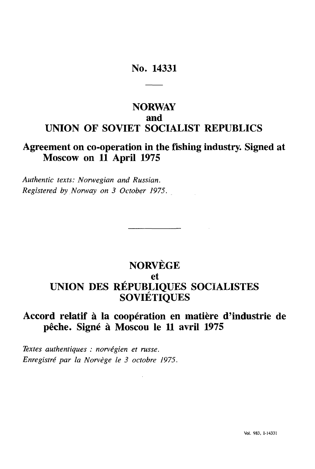## No. 14331

## **NORWAY and UNION OF SOVIET SOCIALIST REPUBLICS**

## **Agreement on co-operation in the fishing industry. Signed at Moscow on 11 April 1975**

*Authentic texts: Norwegian and Russian. Registered by Norway on 3 October 1975.*

# **NORVEGE et UNION DES RÉPUBLIQUES SOCIALISTES SOVIÉTIQUES**

## **Accord relatif à la coopération en matière d'industrie de pêche. Signé à Moscou le 11 avril 1975**

*Textes authentiques : norvégien et russe. Enregistré par la Norvège le 3 octobre 1975.*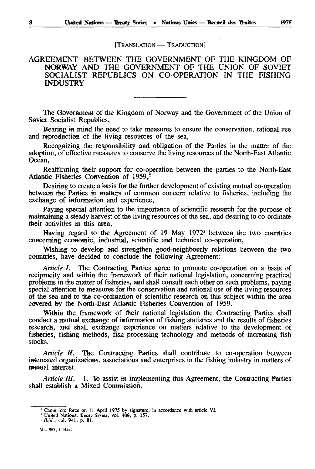#### [TRANSLATION - TRADUCTION]

#### AGREEMENT1 BETWEEN THE GOVERNMENT OF THE KINGDOM OF NORWAY AND THE GOVERNMENT OF THE UNION OF SOVIET SOCIALIST REPUBLICS ON CO-OPERATION IN THE FISHING INDUSTRY

The Government of the Kingdom of Norway and the Government of the Union of Soviet Socialist Republics,

Bearing in mind the need to take measures to ensure the conservation, rational use and reproduction of the living resources of the sea,

Recognizing the responsibility and obligation of the Parties in the matter of the adoption, of effective measures to conserve the living resources of the North-East Atlantic Ocean,

Reaffirming their support for co-operation between the parties to the North-East Atlantic Fisheries Convention of 1959,<sup>2</sup>

Desiring to create a basis for the further development of existing mutual co-operation between the Parties in matters of common concern relative to fisheries, including the exchange of iaformation and experience,

Paying special attention to the importance of scientific research for the purpose of maintaining a steady harvest of the living resources of the sea, and desiring to co-ordinate their activities in this area,

Having regard to the Agreement of 19 May 1972<sup>3</sup> between the two countries concerning economic, industrial, scientific and technical co-operation,

Wishing to develop and strengthen good-neighbourly relations between the two countries, have decided to conclude the following Agreement:

*Article I.* The Contracting Parties agree to promote co-operation on a basis of reciprocity and within the framework of their national legislation, concerning practical problems in the matter of fisheries, and shall consult each other on such problems, paying special attention to measures for the conservation and rational use of the living resources of the sea and to the co-ordination of scientific research on this subject within the area covered *by* the North-East Atlantic Fisheries Convention of 1959.

Within the framework of their national legislation the Contracting Parties shall conduct a mutual exchange *of* information of fishing statistics and the results of fisheries research, and shall exchange experience on matters relative to the development of fisheries, fishing methods, fish processing technology and methods of increasing fish stocks.

*Article IL* The Contracting Parties shall contribute to co-operation between interested organizations, associations aad enterprises in the fishing industry in matters of mutual interest.

*Article III.* 1. To assist in implementing this Agreement, the Contracting Parties shall establish a Mixed Commission.

Vol. 963, 1-14331

<sup>&</sup>lt;sup>1</sup> Came into force on 11 April 1975 by signature, in accordance with article VI.<br><sup>2</sup> United Nations, *Treaty Series*, vol. 486, p. 157.<br><sup>3</sup> Ibid., vol. 941, p. 81.